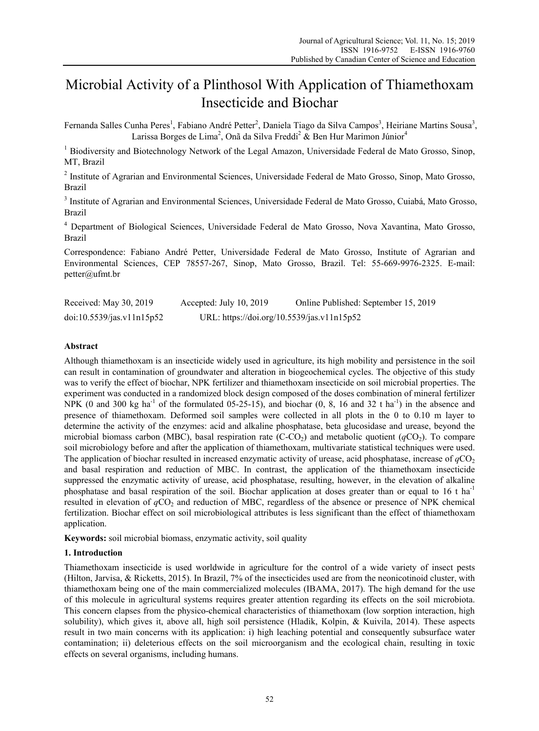# Microbial Activity of a Plinthosol With Application of Thiamethoxam Insecticide and Biochar

Fernanda Salles Cunha Peres<sup>1</sup>, Fabiano André Petter<sup>2</sup>, Daniela Tiago da Silva Campos<sup>3</sup>, Heiriane Martins Sousa<sup>3</sup>, Larissa Borges de Lima<sup>2</sup>, Onã da Silva Freddi<sup>2</sup> & Ben Hur Marimon Júnior<sup>4</sup>

<sup>1</sup> Biodiversity and Biotechnology Network of the Legal Amazon, Universidade Federal de Mato Grosso, Sinop, MT, Brazil

<sup>2</sup> Institute of Agrarian and Environmental Sciences, Universidade Federal de Mato Grosso, Sinop, Mato Grosso, Brazil

<sup>3</sup> Institute of Agrarian and Environmental Sciences, Universidade Federal de Mato Grosso, Cuiabá, Mato Grosso, Brazil

4 Department of Biological Sciences, Universidade Federal de Mato Grosso, Nova Xavantina, Mato Grosso, Brazil

Correspondence: Fabiano André Petter, Universidade Federal de Mato Grosso, Institute of Agrarian and Environmental Sciences, CEP 78557-267, Sinop, Mato Grosso, Brazil. Tel: 55-669-9976-2325. E-mail: petter@ufmt.br

| Received: May 30, 2019    | Accepted: July 10, 2019                    | Online Published: September 15, 2019 |
|---------------------------|--------------------------------------------|--------------------------------------|
| doi:10.5539/jas.v11n15p52 | URL: https://doi.org/10.5539/jas.v11n15p52 |                                      |

# **Abstract**

Although thiamethoxam is an insecticide widely used in agriculture, its high mobility and persistence in the soil can result in contamination of groundwater and alteration in biogeochemical cycles. The objective of this study was to verify the effect of biochar, NPK fertilizer and thiamethoxam insecticide on soil microbial properties. The experiment was conducted in a randomized block design composed of the doses combination of mineral fertilizer NPK (0 and 300 kg ha<sup>-1</sup> of the formulated 05-25-15), and biochar (0, 8, 16 and 32 t ha<sup>-1</sup>) in the absence and presence of thiamethoxam. Deformed soil samples were collected in all plots in the 0 to 0.10 m layer to determine the activity of the enzymes: acid and alkaline phosphatase, beta glucosidase and urease, beyond the microbial biomass carbon (MBC), basal respiration rate  $(C-CO<sub>2</sub>)$  and metabolic quotient  $(qCO<sub>2</sub>)$ . To compare soil microbiology before and after the application of thiamethoxam, multivariate statistical techniques were used. The application of biochar resulted in increased enzymatic activity of urease, acid phosphatase, increase of  $qCO<sub>2</sub>$ and basal respiration and reduction of MBC. In contrast, the application of the thiamethoxam insecticide suppressed the enzymatic activity of urease, acid phosphatase, resulting, however, in the elevation of alkaline phosphatase and basal respiration of the soil. Biochar application at doses greater than or equal to 16 t ha<sup>-1</sup> resulted in elevation of  $qCO_2$  and reduction of MBC, regardless of the absence or presence of NPK chemical fertilization. Biochar effect on soil microbiological attributes is less significant than the effect of thiamethoxam application.

**Keywords:** soil microbial biomass, enzymatic activity, soil quality

# **1. Introduction**

Thiamethoxam insecticide is used worldwide in agriculture for the control of a wide variety of insect pests (Hilton, Jarvisa, & Ricketts, 2015). In Brazil, 7% of the insecticides used are from the neonicotinoid cluster, with thiamethoxam being one of the main commercialized molecules (IBAMA, 2017). The high demand for the use of this molecule in agricultural systems requires greater attention regarding its effects on the soil microbiota. This concern elapses from the physico-chemical characteristics of thiamethoxam (low sorption interaction, high solubility), which gives it, above all, high soil persistence (Hladik, Kolpin, & Kuivila, 2014). These aspects result in two main concerns with its application: i) high leaching potential and consequently subsurface water contamination; ii) deleterious effects on the soil microorganism and the ecological chain, resulting in toxic effects on several organisms, including humans.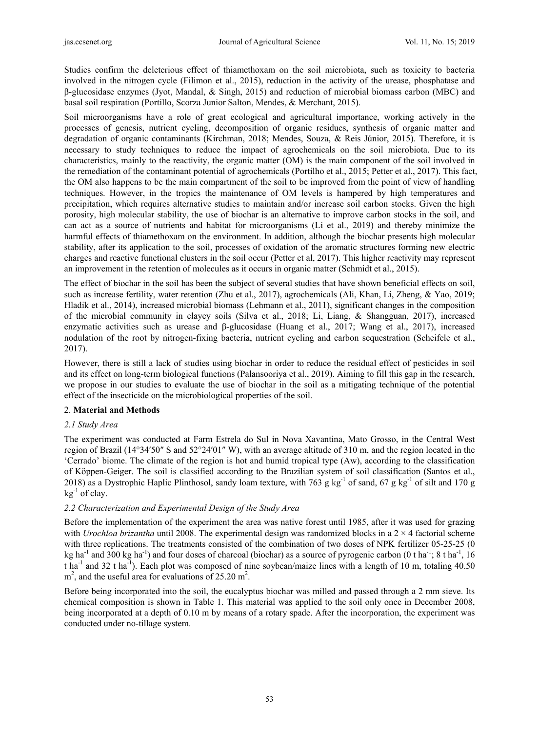Studies confirm the deleterious effect of thiamethoxam on the soil microbiota, such as toxicity to bacteria involved in the nitrogen cycle (Filimon et al., 2015), reduction in the activity of the urease, phosphatase and β-glucosidase enzymes (Jyot, Mandal, & Singh, 2015) and reduction of microbial biomass carbon (MBC) and basal soil respiration (Portillo, Scorza Junior Salton, Mendes, & Merchant, 2015).

Soil microorganisms have a role of great ecological and agricultural importance, working actively in the processes of genesis, nutrient cycling, decomposition of organic residues, synthesis of organic matter and degradation of organic contaminants (Kirchman, 2018; Mendes, Souza, & Reis Júnior, 2015). Therefore, it is necessary to study techniques to reduce the impact of agrochemicals on the soil microbiota. Due to its characteristics, mainly to the reactivity, the organic matter (OM) is the main component of the soil involved in the remediation of the contaminant potential of agrochemicals (Portilho et al., 2015; Petter et al., 2017). This fact, the OM also happens to be the main compartment of the soil to be improved from the point of view of handling techniques. However, in the tropics the maintenance of OM levels is hampered by high temperatures and precipitation, which requires alternative studies to maintain and/or increase soil carbon stocks. Given the high porosity, high molecular stability, the use of biochar is an alternative to improve carbon stocks in the soil, and can act as a source of nutrients and habitat for microorganisms (Li et al., 2019) and thereby minimize the harmful effects of thiamethoxam on the environment. In addition, although the biochar presents high molecular stability, after its application to the soil, processes of oxidation of the aromatic structures forming new electric charges and reactive functional clusters in the soil occur (Petter et al, 2017). This higher reactivity may represent an improvement in the retention of molecules as it occurs in organic matter (Schmidt et al., 2015).

The effect of biochar in the soil has been the subject of several studies that have shown beneficial effects on soil, such as increase fertility, water retention (Zhu et al., 2017), agrochemicals (Ali, Khan, Li, Zheng, & Yao, 2019; Hladik et al., 2014), increased microbial biomass (Lehmann et al., 2011), significant changes in the composition of the microbial community in clayey soils (Silva et al., 2018; Li, Liang, & Shangguan, 2017), increased enzymatic activities such as urease and β-glucosidase (Huang et al., 2017; Wang et al., 2017), increased nodulation of the root by nitrogen-fixing bacteria, nutrient cycling and carbon sequestration (Scheifele et al., 2017).

However, there is still a lack of studies using biochar in order to reduce the residual effect of pesticides in soil and its effect on long-term biological functions (Palansooriya et al., 2019). Aiming to fill this gap in the research, we propose in our studies to evaluate the use of biochar in the soil as a mitigating technique of the potential effect of the insecticide on the microbiological properties of the soil.

# 2. **Material and Methods**

# *2.1 Study Area*

The experiment was conducted at Farm Estrela do Sul in Nova Xavantina, Mato Grosso, in the Central West region of Brazil (14°34′50″ S and 52°24′01″ W), with an average altitude of 310 m, and the region located in the 'Cerrado' biome. The climate of the region is hot and humid tropical type (Aw), according to the classification of Köppen-Geiger. The soil is classified according to the Brazilian system of soil classification (Santos et al., 2018) as a Dystrophic Haplic Plinthosol, sandy loam texture, with 763 g kg<sup>-1</sup> of sand, 67 g kg<sup>-1</sup> of silt and 170 g  $kg^{-1}$  of clay.

# *2.2 Characterization and Experimental Design of the Study Area*

Before the implementation of the experiment the area was native forest until 1985, after it was used for grazing with *Urochloa brizantha* until 2008. The experimental design was randomized blocks in a 2  $\times$  4 factorial scheme with three replications. The treatments consisted of the combination of two doses of NPK fertilizer 05-25-25 (0 kg ha<sup>-1</sup> and 300 kg ha<sup>-1</sup>) and four doses of charcoal (biochar) as a source of pyrogenic carbon (0 t ha<sup>-1</sup>; 8 t ha<sup>-1</sup>, 16 t ha<sup>-1</sup> and 32 t ha<sup>-1</sup>). Each plot was composed of nine soybean/maize lines with a length of 10 m, totaling 40.50  $m<sup>2</sup>$ , and the useful area for evaluations of 25.20 m<sup>2</sup>.

Before being incorporated into the soil, the eucalyptus biochar was milled and passed through a 2 mm sieve. Its chemical composition is shown in Table 1. This material was applied to the soil only once in December 2008, being incorporated at a depth of 0.10 m by means of a rotary spade. After the incorporation, the experiment was conducted under no-tillage system.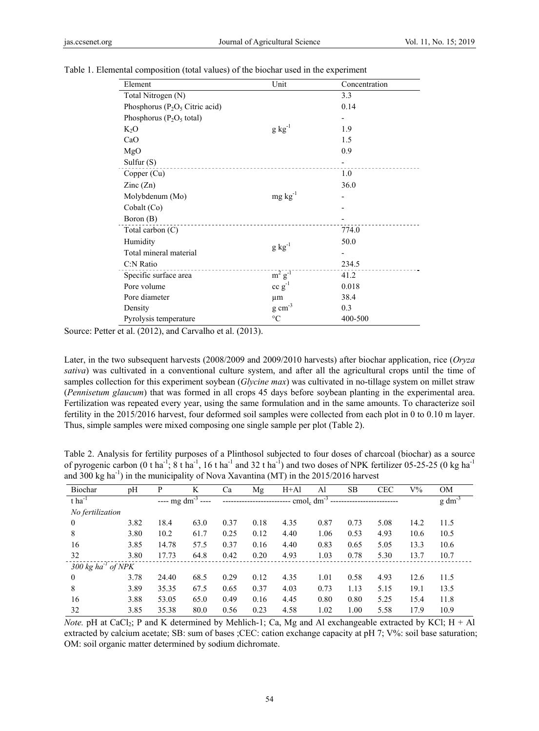| Element                            | Unit                | Concentration |
|------------------------------------|---------------------|---------------|
| Total Nitrogen (N)                 |                     | 3.3           |
| Phosphorus ( $P_2O_5$ Citric acid) |                     | 0.14          |
| Phosphorus ( $P_2O_5$ total)       |                     |               |
| $K_2O$                             | $g kg^{-1}$         | 1.9           |
| CaO                                |                     | 1.5           |
| MgO                                |                     | 0.9           |
| Sulfur $(S)$                       |                     |               |
| Copper (Cu)                        |                     | 1.0           |
| $\text{Zinc}(\text{Zn})$           |                     | 36.0          |
| Molybdenum (Mo)                    | $mg \, kg^{-1}$     |               |
| Cobalt (Co)                        |                     |               |
| Boron (B)                          |                     |               |
| Total carbon $(C)$                 |                     | 774.0         |
| Humidity                           |                     | 50.0          |
| Total mineral material             | $g kg^{-1}$         |               |
| C:N Ratio                          |                     | 234.5         |
| Specific surface area              | $m^2g^{-1}$         | 41.2          |
| Pore volume                        | $cc g^{-1}$         | 0.018         |
| Pore diameter                      | μm                  | 38.4          |
| Density                            | $g \text{ cm}^{-3}$ | 0.3           |
| Pyrolysis temperature              | $\rm ^{\circ}C$     | 400-500       |

Table 1. Elemental composition (total values) of the biochar used in the experiment

Source: Petter et al. (2012), and Carvalho et al. (2013).

Later, in the two subsequent harvests (2008/2009 and 2009/2010 harvests) after biochar application, rice (*Oryza sativa*) was cultivated in a conventional culture system, and after all the agricultural crops until the time of samples collection for this experiment soybean (*Glycine max*) was cultivated in no-tillage system on millet straw (*Pennisetum glaucum*) that was formed in all crops 45 days before soybean planting in the experimental area. Fertilization was repeated every year, using the same formulation and in the same amounts. To characterize soil fertility in the 2015/2016 harvest, four deformed soil samples were collected from each plot in 0 to 0.10 m layer. Thus, simple samples were mixed composing one single sample per plot (Table 2).

Table 2. Analysis for fertility purposes of a Plinthosol subjected to four doses of charcoal (biochar) as a source of pyrogenic carbon (0 t ha<sup>-1</sup>; 8 t ha<sup>-1</sup>, 16 t ha<sup>-1</sup> and 32 t ha<sup>-1</sup>) and two doses of NPK fertilizer 05-25-25 (0 kg ha<sup>-1</sup>) and 300 kg ha<sup>-1</sup>) in the municipality of Nova Xavantina (MT) in the  $2015/2016$  harvest

| <b>Biochar</b>                           | pH   | P                          | K     | Ca   | Mg   | $H+A1$ | Al                                   | <b>SB</b> | <b>CEC</b> | $V\%$ | <b>OM</b>      |
|------------------------------------------|------|----------------------------|-------|------|------|--------|--------------------------------------|-----------|------------|-------|----------------|
| $t$ ha <sup>-1</sup>                     |      | ---- mg dm <sup>-3</sup> - | $---$ |      |      |        | cmol <sub>c</sub> dm <sup>-3</sup> - |           |            |       | $g \, dm^{-3}$ |
| No fertilization                         |      |                            |       |      |      |        |                                      |           |            |       |                |
| 0                                        | 3.82 | 18.4                       | 63.0  | 0.37 | 0.18 | 4.35   | 0.87                                 | 0.73      | 5.08       | 14.2  | 11.5           |
| 8                                        | 3.80 | 10.2                       | 61.7  | 0.25 | 0.12 | 4.40   | 1.06                                 | 0.53      | 4.93       | 10.6  | 10.5           |
| 16                                       | 3.85 | 14.78                      | 57.5  | 0.37 | 0.16 | 4.40   | 0.83                                 | 0.65      | 5.05       | 13.3  | 10.6           |
| 32                                       | 3.80 | 17.73                      | 64.8  | 0.42 | 0.20 | 4.93   | 1.03                                 | 0.78      | 5.30       | 13.7  | 10.7           |
| $300 \text{ kg}$ ha <sup>-1</sup> of NPK |      |                            |       |      |      |        |                                      |           |            |       |                |
| 0                                        | 3.78 | 24.40                      | 68.5  | 0.29 | 0.12 | 4.35   | 1.01                                 | 0.58      | 4.93       | 12.6  | 11.5           |
| 8                                        | 3.89 | 35.35                      | 67.5  | 0.65 | 0.37 | 4.03   | 0.73                                 | 1.13      | 5.15       | 19.1  | 13.5           |
| 16                                       | 3.88 | 53.05                      | 65.0  | 0.49 | 0.16 | 4.45   | 0.80                                 | 0.80      | 5.25       | 15.4  | 11.8           |
| 32                                       | 3.85 | 35.38                      | 80.0  | 0.56 | 0.23 | 4.58   | 1.02                                 | 1.00      | 5.58       | 17.9  | 10.9           |

*Note.* pH at CaCl<sub>2</sub>; P and K determined by Mehlich-1; Ca, Mg and Al exchangeable extracted by KCl;  $H + Al$ extracted by calcium acetate; SB: sum of bases ;CEC: cation exchange capacity at pH 7; V%: soil base saturation; OM: soil organic matter determined by sodium dichromate.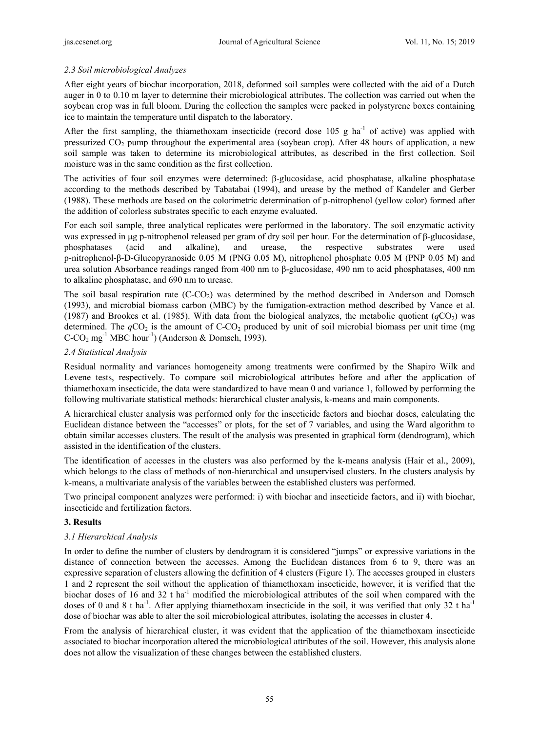# *2.3 Soil microbiological Analyzes*

After eight years of biochar incorporation, 2018, deformed soil samples were collected with the aid of a Dutch auger in 0 to 0.10 m layer to determine their microbiological attributes. The collection was carried out when the soybean crop was in full bloom. During the collection the samples were packed in polystyrene boxes containing ice to maintain the temperature until dispatch to the laboratory.

After the first sampling, the thiamethoxam insecticide (record dose  $105$  g ha<sup>-1</sup> of active) was applied with pressurized  $CO<sub>2</sub>$  pump throughout the experimental area (soybean crop). After 48 hours of application, a new soil sample was taken to determine its microbiological attributes, as described in the first collection. Soil moisture was in the same condition as the first collection.

The activities of four soil enzymes were determined: β-glucosidase, acid phosphatase, alkaline phosphatase according to the methods described by Tabatabai (1994), and urease by the method of Kandeler and Gerber (1988). These methods are based on the colorimetric determination of p-nitrophenol (yellow color) formed after the addition of colorless substrates specific to each enzyme evaluated.

For each soil sample, three analytical replicates were performed in the laboratory. The soil enzymatic activity was expressed in μg p-nitrophenol released per gram of dry soil per hour. For the determination of β-glucosidase, phosphatases (acid and alkaline), and urease, the respective substrates were used p-nitrophenol-β-D-Glucopyranoside 0.05 M (PNG 0.05 M), nitrophenol phosphate 0.05 M (PNP 0.05 M) and urea solution Absorbance readings ranged from 400 nm to β-glucosidase, 490 nm to acid phosphatases, 400 nm to alkaline phosphatase, and 690 nm to urease.

The soil basal respiration rate  $(C-CO<sub>2</sub>)$  was determined by the method described in Anderson and Domsch (1993), and microbial biomass carbon (MBC) by the fumigation-extraction method described by Vance et al. (1987) and Brookes et al. (1985). With data from the biological analyzes, the metabolic quotient  $(qCO<sub>2</sub>)$  was determined. The  $qCO<sub>2</sub>$  is the amount of C-CO<sub>2</sub> produced by unit of soil microbial biomass per unit time (mg)  $C-CO<sub>2</sub> mg<sup>-1</sup> MBC hour<sup>-1</sup> (Anderson & Domsch, 1993).$ 

## *2.4 Statistical Analysis*

Residual normality and variances homogeneity among treatments were confirmed by the Shapiro Wilk and Levene tests, respectively. To compare soil microbiological attributes before and after the application of thiamethoxam insecticide, the data were standardized to have mean 0 and variance 1, followed by performing the following multivariate statistical methods: hierarchical cluster analysis, k-means and main components.

A hierarchical cluster analysis was performed only for the insecticide factors and biochar doses, calculating the Euclidean distance between the "accesses" or plots, for the set of 7 variables, and using the Ward algorithm to obtain similar accesses clusters. The result of the analysis was presented in graphical form (dendrogram), which assisted in the identification of the clusters.

The identification of accesses in the clusters was also performed by the k-means analysis (Hair et al., 2009), which belongs to the class of methods of non-hierarchical and unsupervised clusters. In the clusters analysis by k-means, a multivariate analysis of the variables between the established clusters was performed.

Two principal component analyzes were performed: i) with biochar and insecticide factors, and ii) with biochar, insecticide and fertilization factors.

## **3. Results**

## *3.1 Hierarchical Analysis*

In order to define the number of clusters by dendrogram it is considered "jumps" or expressive variations in the distance of connection between the accesses. Among the Euclidean distances from 6 to 9, there was an expressive separation of clusters allowing the definition of 4 clusters (Figure 1). The accesses grouped in clusters 1 and 2 represent the soil without the application of thiamethoxam insecticide, however, it is verified that the biochar doses of 16 and 32 t ha<sup>-1</sup> modified the microbiological attributes of the soil when compared with the doses of 0 and 8 t ha<sup>-1</sup>. After applying thiamethoxam insecticide in the soil, it was verified that only 32 t ha<sup>-1</sup> dose of biochar was able to alter the soil microbiological attributes, isolating the accesses in cluster 4.

From the analysis of hierarchical cluster, it was evident that the application of the thiamethoxam insecticide associated to biochar incorporation altered the microbiological attributes of the soil. However, this analysis alone does not allow the visualization of these changes between the established clusters.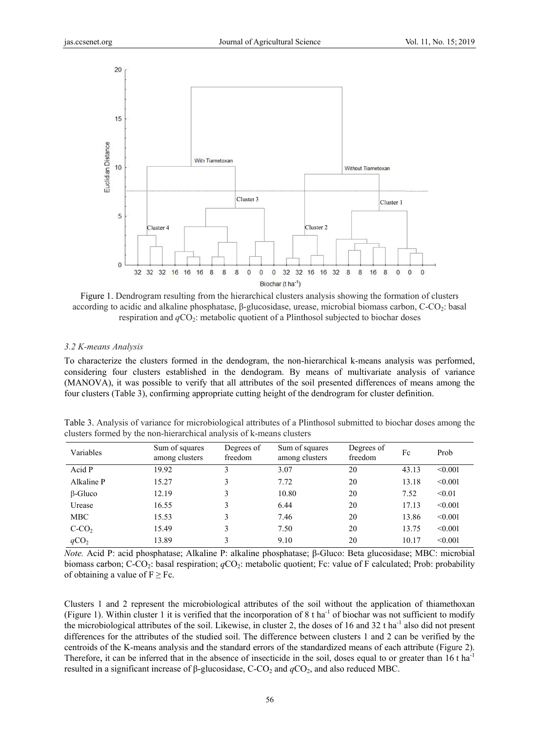

Figure 1. Dendrogram resulting from the hierarchical clusters analysis showing the formation of clusters according to acidic and alkaline phosphatase,  $\beta$ -glucosidase, urease, microbial biomass carbon, C-CO<sub>2</sub>: basal respiration and  $qCO_2$ : metabolic quotient of a Plinthosol subjected to biochar doses

#### 3.2 K-means Analysis

To characterize the clusters formed in the dendogram, the non-hierarchical k-means analysis was performed, considering four clusters established in the dendogram. By means of multivariate analysis of variance (MANOVA), it was possible to verify that all attributes of the soil presented differences of means among the four clusters (Table 3), confirming appropriate cutting height of the dendrogram for cluster definition.

Table 3. Analysis of variance for microbiological attributes of a Plinthosol submitted to biochar doses among the clusters formed by the non-hierarchical analysis of k-means clusters

| Variables        | Sum of squares<br>among clusters | Degrees of<br>freedom | Sum of squares<br>among clusters | Degrees of<br>freedom | Fc    | Prob    |
|------------------|----------------------------------|-----------------------|----------------------------------|-----------------------|-------|---------|
| Acid P           | 19.92                            |                       | 3.07                             | 20                    | 43.13 | < 0.001 |
| Alkaline P       | 15.27                            | 3                     | 7.72                             | 20                    | 13.18 | < 0.001 |
| $\beta$ -Gluco   | 12.19                            | 3                     | 10.80                            | 20                    | 7.52  | < 0.01  |
| Urease           | 16.55                            | 3                     | 6.44                             | 20                    | 17.13 | < 0.001 |
| <b>MBC</b>       | 15.53                            | 3                     | 7.46                             | 20                    | 13.86 | < 0.001 |
| $C-CO2$          | 15.49                            | 3                     | 7.50                             | 20                    | 13.75 | < 0.001 |
| qCO <sub>2</sub> | 13.89                            | 3                     | 9.10                             | 20                    | 10.17 | < 0.001 |

*Note.* Acid P: acid phosphatase; Alkaline P: alkaline phosphatase; B-Gluco: Beta glucosidase; MBC: microbial biomass carbon;  $C-CO_2$ : basal respiration;  $qCO_2$ : metabolic quotient; Fc: value of F calculated; Prob: probability of obtaining a value of  $F \geq Fc$ .

Clusters 1 and 2 represent the microbiological attributes of the soil without the application of thiamethoxan (Figure 1). Within cluster 1 it is verified that the incorporation of 8 t ha<sup>-1</sup> of biochar was not sufficient to modify the microbiological attributes of the soil. Likewise, in cluster 2, the doses of 16 and 32 t ha<sup>-1</sup> also did not present differences for the attributes of the studied soil. The difference between clusters 1 and 2 can be verified by the centroids of the K-means analysis and the standard errors of the standardized means of each attribute (Figure 2). Therefore, it can be inferred that in the absence of insecticide in the soil, doses equal to or greater than 16 t ha<sup>-1</sup> resulted in a significant increase of  $\beta$ -glucosidase, C-CO<sub>2</sub> and  $qCO_2$ , and also reduced MBC.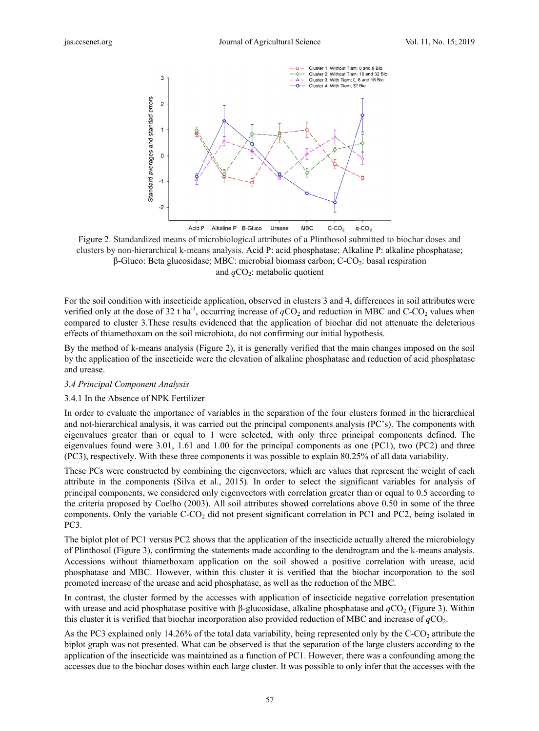

Figure 2. Standardized means of microbiological attributes of a Plinthosol submitted to biochar doses and clusters by non-hierarchical k-means analysis. Acid P: acid phosphatase; Alkaline P: alkaline phosphatase;  $\beta$ -Gluco: Beta glucosidase: MBC: microbial biomass carbon: C-CO<sub>2</sub>: basal respiration and  $qCO_2$ : metabolic quotient

For the soil condition with insecticide application, observed in clusters 3 and 4, differences in soil attributes were verified only at the dose of 32 t ha<sup>-1</sup>, occurring increase of  $qCO_2$  and reduction in MBC and C-CO<sub>2</sub> values when compared to cluster 3. These results evidenced that the application of biochar did not attenuate the deleterious effects of thiamethoxam on the soil microbiota, do not confirming our initial hypothesis.

By the method of k-means analysis (Figure 2), it is generally verified that the main changes imposed on the soil by the application of the insecticide were the elevation of alkaline phosphatase and reduction of acid phosphatase and urease.

#### 3.4 Principal Component Analysis

#### 3.4.1 In the Absence of NPK Fertilizer

In order to evaluate the importance of variables in the separation of the four clusters formed in the hierarchical and not-hierarchical analysis, it was carried out the principal components analysis (PC's). The components with eigenvalues greater than or equal to 1 were selected, with only three principal components defined. The eigenvalues found were  $3.01$ ,  $1.61$  and  $1.00$  for the principal components as one (PC1), two (PC2) and three (PC3), respectively. With these three components it was possible to explain 80.25% of all data variability.

These PCs were constructed by combining the eigenvectors, which are values that represent the weight of each attribute in the components (Silva et al., 2015). In order to select the significant variables for analysis of principal components, we considered only eigenvectors with correlation greater than or equal to 0.5 according to the criteria proposed by Coelho (2003). All soil attributes showed correlations above 0.50 in some of the three components. Only the variable C-CO<sub>2</sub> did not present significant correlation in PC1 and PC2, being isolated in PC3.

The biplot plot of PC1 versus PC2 shows that the application of the insecticide actually altered the microbiology of Plinthosol (Figure 3), confirming the statements made according to the dendrogram and the k-means analysis. Accessions without thiamethoxam application on the soil showed a positive correlation with urease, acid phosphatase and MBC. However, within this cluster it is verified that the biochar incorporation to the soil promoted increase of the urease and acid phosphatase, as well as the reduction of the MBC.

In contrast, the cluster formed by the accesses with application of insecticide negative correlation presentation with urease and acid phosphatase positive with  $\beta$ -glucosidase, alkaline phosphatase and  $qCO_2$  (Figure 3). Within this cluster it is verified that biochar incorporation also provided reduction of MBC and increase of  $qCO_2$ .

As the PC3 explained only 14.26% of the total data variability, being represented only by the C-CO<sub>2</sub> attribute the biplot graph was not presented. What can be observed is that the separation of the large clusters according to the application of the insecticide was maintained as a function of PC1. However, there was a confounding among the accesses due to the biochar doses within each large cluster. It was possible to only infer that the accesses with the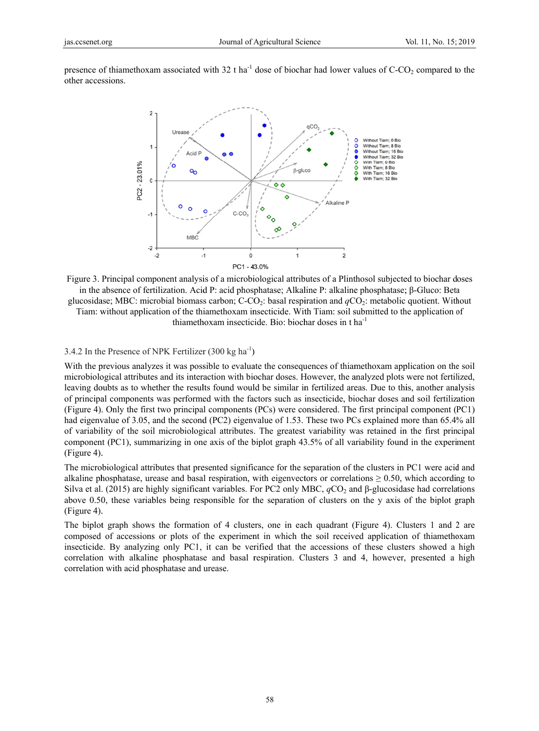presence of thiamethoxam associated with 32 t ha<sup>-1</sup> dose of biochar had lower values of C-CO<sub>2</sub> compared to the other accessions.



Figure 3. Principal component analysis of a microbiological attributes of a Plinthosol subjected to biochar doses in the absence of fertilization. Acid P: acid phosphatase: Alkaline P: alkaline phosphatase: β-Gluco: Beta glucosidase; MBC: microbial biomass carbon;  $C-CO_2$ : basal respiration and  $qCO_2$ : metabolic quotient. Without Tiam: without application of the thiamethoxam insecticide. With Tiam: soil submitted to the application of

thiamethoxam insecticide. Bio: biochar doses in  $t$  ha<sup>-1</sup>

## 3.4.2 In the Presence of NPK Fertilizer  $(300 \text{ kg ha}^{-1})$

With the previous analyzes it was possible to evaluate the consequences of thiamethoxam application on the soil microbiological attributes and its interaction with biochar doses. However, the analyzed plots were not fertilized, leaving doubts as to whether the results found would be similar in fertilized areas. Due to this, another analysis of principal components was performed with the factors such as insecticide, biochar doses and soil fertilization (Figure 4). Only the first two principal components (PCs) were considered. The first principal component (PC1) had eigenvalue of 3.05, and the second (PC2) eigenvalue of 1.53. These two PCs explained more than 65.4% all of variability of the soil microbiological attributes. The greatest variability was retained in the first principal component (PC1), summarizing in one axis of the biplot graph 43.5% of all variability found in the experiment (Figure 4).

The microbiological attributes that presented significance for the separation of the clusters in PC1 were acid and alkaline phosphatase, urease and basal respiration, with eigenvectors or correlations  $\geq 0.50$ , which according to Silva et al. (2015) are highly significant variables. For PC2 only MBC,  $qCO_2$  and  $\beta$ -glucosidase had correlations above 0.50, these variables being responsible for the separation of clusters on the y axis of the biplot graph (Figure 4).

The biplot graph shows the formation of 4 clusters, one in each quadrant (Figure 4). Clusters 1 and 2 are composed of accessions or plots of the experiment in which the soil received application of thiamethoxam insecticide. By analyzing only PC1, it can be verified that the accessions of these clusters showed a high correlation with alkaline phosphatase and basal respiration. Clusters 3 and 4, however, presented a high correlation with acid phosphatase and urease.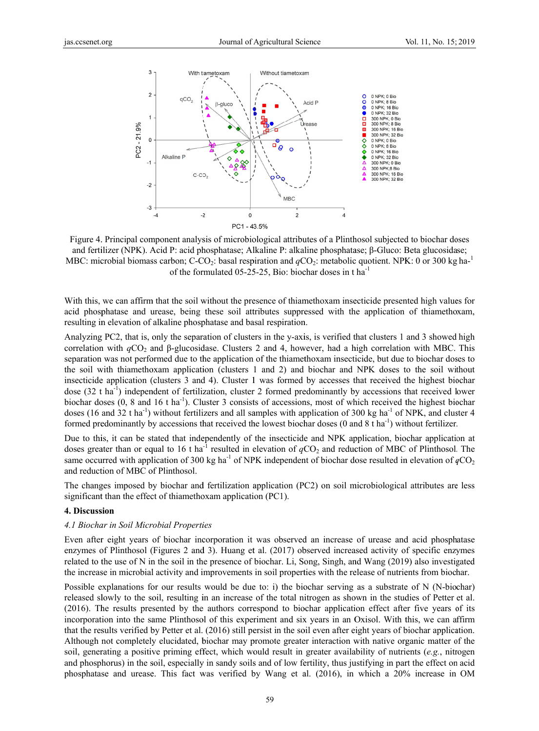

Figure 4. Principal component analysis of microbiological attributes of a Plinthosol subjected to biochar doses and fertilizer (NPK). Acid P: acid phosphatase; Alkaline P: alkaline phosphatase; β-Gluco: Beta glucosidase; MBC: microbial biomass carbon; C-CO<sub>2</sub>: basal respiration and  $qCO_2$ : metabolic quotient. NPK: 0 or 300 kg ha-<sup>1</sup> of the formulated 05-25-25, Bio: biochar doses in t ha<sup>-1</sup>

With this, we can affirm that the soil without the presence of thiamethoxam insecticide presented high values for acid phosphatase and urease, being these soil attributes suppressed with the application of thiamethoxam, resulting in elevation of alkaline phosphatase and basal respiration.

Analyzing PC2, that is, only the separation of clusters in the y-axis, is verified that clusters 1 and 3 showed high correlation with  $qCO_2$  and  $\beta$ -glucosidase. Clusters 2 and 4, however, had a high correlation with MBC. This separation was not performed due to the application of the thiamethoxam insecticide, but due to biochar doses to the soil with thiamethoxam application (clusters 1 and 2) and biochar and NPK doses to the soil without insecticide application (clusters 3 and 4). Cluster 1 was formed by accesses that received the highest biochar  $\cos(32 \text{ t} \text{ ha}^{-1})$  independent of fertilization, cluster 2 formed predominantly by accessions that received lower biochar doses  $(0, 8 \text{ and } 16 \text{ tha}^{-1})$ . Cluster 3 consists of accessions, most of which received the highest biochar doses (16 and 32 t ha<sup>-1</sup>) without fertilizers and all samples with application of 300 kg ha<sup>-1</sup> of NPK, and cluster 4 formed predominantly by accessions that received the lowest biochar doses (0 and 8 t ha<sup>-1</sup>) without fertilizer.

Due to this, it can be stated that independently of the insecticide and NPK application, biochar application at doses greater than or equal to 16 t ha<sup>-1</sup> resulted in elevation of  $qCO_2$  and reduction of MBC of Plinthosol. The same occurred with application of 300 kg ha<sup>-1</sup> of NPK independent of biochar dose resulted in elevation of  $qCO_2$ and reduction of MBC of Plinthosol.

The changes imposed by biochar and fertilization application (PC2) on soil microbiological attributes are less significant than the effect of thiamethoxam application (PC1).

#### 4. Discussion

#### 4.1 Biochar in Soil Microbial Properties

Even after eight years of biochar incorporation it was observed an increase of urease and acid phosphatase enzymes of Plinthosol (Figures 2 and 3). Huang et al. (2017) observed increased activity of specific enzymes related to the use of N in the soil in the presence of biochar. Li, Song, Singh, and Wang (2019) also investigated the increase in microbial activity and improvements in soil properties with the release of nutrients from biochar.

Possible explanations for our results would be due to: i) the biochar serving as a substrate of N (N-biochar) released slowly to the soil, resulting in an increase of the total nitrogen as shown in the studies of Petter et al. (2016). The results presented by the authors correspond to biochar application effect after five years of its incorporation into the same Plinthosol of this experiment and six years in an Oxisol. With this, we can affirm that the results verified by Petter et al. (2016) still persist in the soil even after eight years of biochar application. Although not completely elucidated, biochar may promote greater interaction with native organic matter of the soil, generating a positive priming effect, which would result in greater availability of nutrients (e.g., nitrogen and phosphorus) in the soil, especially in sandy soils and of low fertility, thus justifying in part the effect on acid phosphatase and urease. This fact was verified by Wang et al. (2016), in which a 20% increase in OM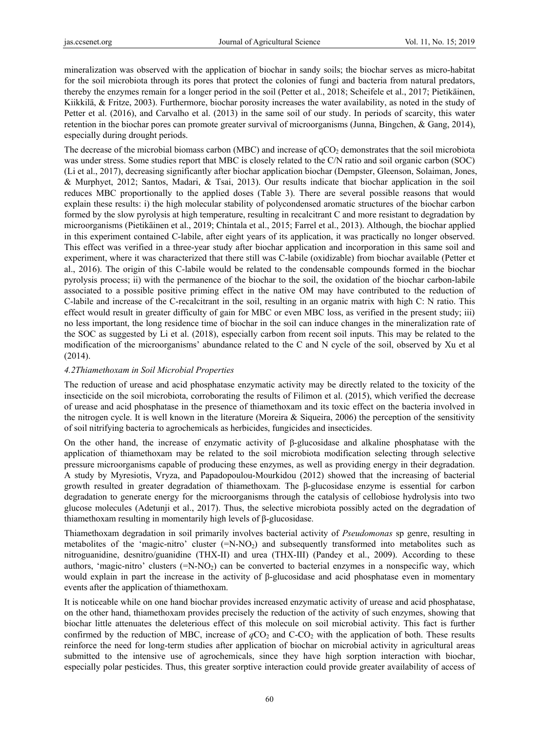mineralization was observed with the application of biochar in sandy soils; the biochar serves as micro-habitat for the soil microbiota through its pores that protect the colonies of fungi and bacteria from natural predators, thereby the enzymes remain for a longer period in the soil (Petter et al., 2018; Scheifele et al., 2017; Pietikäinen, Kiikkilä, & Fritze, 2003). Furthermore, biochar porosity increases the water availability, as noted in the study of Petter et al. (2016), and Carvalho et al. (2013) in the same soil of our study. In periods of scarcity, this water retention in the biochar pores can promote greater survival of microorganisms (Junna, Bingchen, & Gang, 2014), especially during drought periods.

The decrease of the microbial biomass carbon (MBC) and increase of  $qCO<sub>2</sub>$  demonstrates that the soil microbiota was under stress. Some studies report that MBC is closely related to the C/N ratio and soil organic carbon (SOC) (Li et al., 2017), decreasing significantly after biochar application biochar (Dempster, Gleenson, Solaiman, Jones, & Murphyet, 2012; Santos, Madari, & Tsai, 2013). Our results indicate that biochar application in the soil reduces MBC proportionally to the applied doses (Table 3). There are several possible reasons that would explain these results: i) the high molecular stability of polycondensed aromatic structures of the biochar carbon formed by the slow pyrolysis at high temperature, resulting in recalcitrant C and more resistant to degradation by microorganisms (Pietikäinen et al., 2019; Chintala et al., 2015; Farrel et al., 2013). Although, the biochar applied in this experiment contained C-labile, after eight years of its application, it was practically no longer observed. This effect was verified in a three-year study after biochar application and incorporation in this same soil and experiment, where it was characterized that there still was C-labile (oxidizable) from biochar available (Petter et al., 2016). The origin of this C-labile would be related to the condensable compounds formed in the biochar pyrolysis process; ii) with the permanence of the biochar to the soil, the oxidation of the biochar carbon-labile associated to a possible positive priming effect in the native OM may have contributed to the reduction of C-labile and increase of the C-recalcitrant in the soil, resulting in an organic matrix with high C: N ratio. This effect would result in greater difficulty of gain for MBC or even MBC loss, as verified in the present study; iii) no less important, the long residence time of biochar in the soil can induce changes in the mineralization rate of the SOC as suggested by Li et al. (2018), especially carbon from recent soil inputs. This may be related to the modification of the microorganisms' abundance related to the C and N cycle of the soil, observed by Xu et al (2014).

# *4.2Thiamethoxam in Soil Microbial Properties*

The reduction of urease and acid phosphatase enzymatic activity may be directly related to the toxicity of the insecticide on the soil microbiota, corroborating the results of Filimon et al. (2015), which verified the decrease of urease and acid phosphatase in the presence of thiamethoxam and its toxic effect on the bacteria involved in the nitrogen cycle. It is well known in the literature (Moreira  $\&$  Siqueira, 2006) the perception of the sensitivity of soil nitrifying bacteria to agrochemicals as herbicides, fungicides and insecticides.

On the other hand, the increase of enzymatic activity of β-glucosidase and alkaline phosphatase with the application of thiamethoxam may be related to the soil microbiota modification selecting through selective pressure microorganisms capable of producing these enzymes, as well as providing energy in their degradation. A study by Myresiotis, Vryza, and Papadopoulou-Mourkidou (2012) showed that the increasing of bacterial growth resulted in greater degradation of thiamethoxam. The β-glucosidase enzyme is essential for carbon degradation to generate energy for the microorganisms through the catalysis of cellobiose hydrolysis into two glucose molecules (Adetunji et al., 2017). Thus, the selective microbiota possibly acted on the degradation of thiamethoxam resulting in momentarily high levels of β-glucosidase.

Thiamethoxam degradation in soil primarily involves bacterial activity of *Pseudomonas* sp genre, resulting in metabolites of the 'magic-nitro' cluster  $(=\text{N-NO}_2)$  and subsequently transformed into metabolites such as nitroguanidine, desnitro/guanidine (THX-II) and urea (THX-III) (Pandey et al., 2009). According to these authors, 'magic-nitro' clusters  $(=N-NO<sub>2</sub>)$  can be converted to bacterial enzymes in a nonspecific way, which would explain in part the increase in the activity of  $\beta$ -glucosidase and acid phosphatase even in momentary events after the application of thiamethoxam.

It is noticeable while on one hand biochar provides increased enzymatic activity of urease and acid phosphatase, on the other hand, thiamethoxam provides precisely the reduction of the activity of such enzymes, showing that biochar little attenuates the deleterious effect of this molecule on soil microbial activity. This fact is further confirmed by the reduction of MBC, increase of  $qCO_2$  and  $C-CO_2$  with the application of both. These results reinforce the need for long-term studies after application of biochar on microbial activity in agricultural areas submitted to the intensive use of agrochemicals, since they have high sorption interaction with biochar, especially polar pesticides. Thus, this greater sorptive interaction could provide greater availability of access of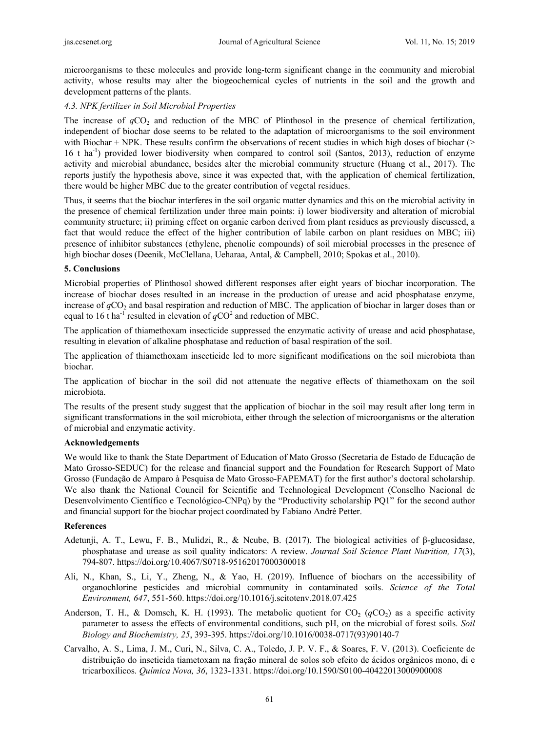microorganisms to these molecules and provide long-term significant change in the community and microbial activity, whose results may alter the biogeochemical cycles of nutrients in the soil and the growth and development patterns of the plants.

## *4.3. NPK fertilizer in Soil Microbial Properties*

The increase of  $qCO<sub>2</sub>$  and reduction of the MBC of Plinthosol in the presence of chemical fertilization, independent of biochar dose seems to be related to the adaptation of microorganisms to the soil environment with Biochar + NPK. These results confirm the observations of recent studies in which high doses of biochar (> 16 t ha-1) provided lower biodiversity when compared to control soil (Santos, 2013), reduction of enzyme activity and microbial abundance, besides alter the microbial community structure (Huang et al., 2017). The reports justify the hypothesis above, since it was expected that, with the application of chemical fertilization, there would be higher MBC due to the greater contribution of vegetal residues.

Thus, it seems that the biochar interferes in the soil organic matter dynamics and this on the microbial activity in the presence of chemical fertilization under three main points: i) lower biodiversity and alteration of microbial community structure; ii) priming effect on organic carbon derived from plant residues as previously discussed, a fact that would reduce the effect of the higher contribution of labile carbon on plant residues on MBC; iii) presence of inhibitor substances (ethylene, phenolic compounds) of soil microbial processes in the presence of high biochar doses (Deenik, McClellana, Ueharaa, Antal, & Campbell, 2010; Spokas et al., 2010).

## **5. Conclusions**

Microbial properties of Plinthosol showed different responses after eight years of biochar incorporation. The increase of biochar doses resulted in an increase in the production of urease and acid phosphatase enzyme, increase of *q*CO<sub>2</sub> and basal respiration and reduction of MBC. The application of biochar in larger doses than or equal to 16 t ha<sup>-1</sup> resulted in elevation of  $qCO^2$  and reduction of MBC.

The application of thiamethoxam insecticide suppressed the enzymatic activity of urease and acid phosphatase, resulting in elevation of alkaline phosphatase and reduction of basal respiration of the soil.

The application of thiamethoxam insecticide led to more significant modifications on the soil microbiota than biochar.

The application of biochar in the soil did not attenuate the negative effects of thiamethoxam on the soil microbiota.

The results of the present study suggest that the application of biochar in the soil may result after long term in significant transformations in the soil microbiota, either through the selection of microorganisms or the alteration of microbial and enzymatic activity.

## **Acknowledgements**

We would like to thank the State Department of Education of Mato Grosso (Secretaria de Estado de Educação de Mato Grosso-SEDUC) for the release and financial support and the Foundation for Research Support of Mato Grosso (Fundação de Amparo à Pesquisa de Mato Grosso-FAPEMAT) for the first author's doctoral scholarship. We also thank the National Council for Scientific and Technological Development (Conselho Nacional de Desenvolvimento Científico e Tecnológico-CNPq) by the "Productivity scholarship PQ1" for the second author and financial support for the biochar project coordinated by Fabiano André Petter.

## **References**

- Adetunji, A. T., Lewu, F. B., Mulidzi, R., & Ncube, B. (2017). The biological activities of β-glucosidase, phosphatase and urease as soil quality indicators: A review. *Journal Soil Science Plant Nutrition, 17*(3), 794-807. https://doi.org/10.4067/S0718-95162017000300018
- Ali, N., Khan, S., Li, Y., Zheng, N., & Yao, H. (2019). Influence of biochars on the accessibility of organochlorine pesticides and microbial community in contaminated soils. *Science of the Total Environment, 647*, 551-560. https://doi.org/10.1016/j.scitotenv.2018.07.425
- Anderson, T. H., & Domsch, K. H. (1993). The metabolic quotient for  $CO_2$  ( $qCO_2$ ) as a specific activity parameter to assess the effects of environmental conditions, such pH, on the microbial of forest soils. *Soil Biology and Biochemistry, 25*, 393-395. https://doi.org/10.1016/0038-0717(93)90140-7
- Carvalho, A. S., Lima, J. M., Curi, N., Silva, C. A., Toledo, J. P. V. F., & Soares, F. V. (2013). Coeficiente de distribuição do inseticida tiametoxam na fração mineral de solos sob efeito de ácidos orgânicos mono, di e tricarboxílicos. *Química Nova, 36*, 1323-1331. https://doi.org/10.1590/S0100-40422013000900008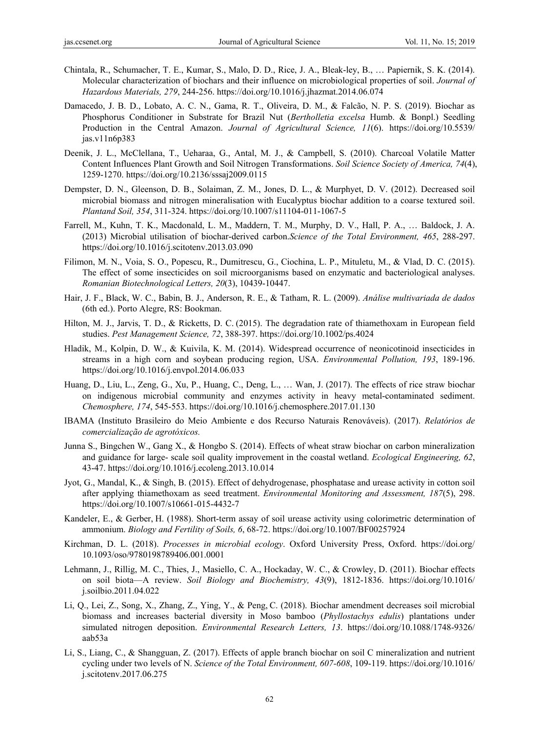- Chintala, R., Schumacher, T. E., Kumar, S., Malo, D. D., Rice, J. A., Bleak-ley, B., … Papiernik, S. K. (2014). Molecular characterization of biochars and their influence on microbiological properties of soil. *Journal of Hazardous Materials, 279*, 244-256. https://doi.org/10.1016/j.jhazmat.2014.06.074
- Damacedo, J. B. D., Lobato, A. C. N., Gama, R. T., Oliveira, D. M., & Falcão, N. P. S. (2019). Biochar as Phosphorus Conditioner in Substrate for Brazil Nut (*Bertholletia excelsa* Humb. & Bonpl.) Seedling Production in the Central Amazon. *Journal of Agricultural Science, 11*(6). https://doi.org/10.5539/ jas.v11n6p383
- Deenik, J. L., McClellana, T., Ueharaa, G., Antal, M. J., & Campbell, S. (2010). Charcoal Volatile Matter Content Influences Plant Growth and Soil Nitrogen Transformations. *Soil Science Society of America, 74*(4), 1259-1270. https://doi.org/10.2136/sssaj2009.0115
- Dempster, D. N., Gleenson, D. B., Solaiman, Z. M., Jones, D. L., & Murphyet, D. V. (2012). Decreased soil microbial biomass and nitrogen mineralisation with Eucalyptus biochar addition to a coarse textured soil. *Plantand Soil, 354*, 311-324. https://doi.org/10.1007/s11104-011-1067-5
- Farrell, M., Kuhn, T. K., Macdonald, L. M., Maddern, T. M., Murphy, D. V., Hall, P. A., … Baldock, J. A. (2013) Microbial utilisation of biochar-derived carbon.*Science of the Total Environment, 465*, 288-297. https://doi.org/10.1016/j.scitotenv.2013.03.090
- Filimon, M. N., Voia, S. O., Popescu, R., Dumitrescu, G., Ciochina, L. P., Mituletu, M., & Vlad, D. C. (2015). The effect of some insecticides on soil microorganisms based on enzymatic and bacteriological analyses. *Romanian Biotechnological Letters, 20*(3), 10439-10447.
- Hair, J. F., Black, W. C., Babin, B. J., Anderson, R. E., & Tatham, R. L. (2009). *Análise multivariada de dados*  (6th ed.). Porto Alegre, RS: Bookman.
- Hilton, M. J., Jarvis, T. D., & Ricketts, D. C. (2015). The degradation rate of thiamethoxam in European field studies. *Pest Management Science, 72*, 388-397. https://doi.org/10.1002/ps.4024
- Hladik, M., Kolpin, D. W., & Kuivila, K. M. (2014). Widespread occurrence of neonicotinoid insecticides in streams in a high corn and soybean producing region, USA. *Environmental Pollution, 193*, 189-196. https://doi.org/10.1016/j.envpol.2014.06.033
- Huang, D., Liu, L., Zeng, G., Xu, P., Huang, C., Deng, L., … Wan, J. (2017). The effects of rice straw biochar on indigenous microbial community and enzymes activity in heavy metal-contaminated sediment. *Chemosphere, 174*, 545-553. https://doi.org/10.1016/j.chemosphere.2017.01.130
- IBAMA (Instituto Brasileiro do Meio Ambiente e dos Recurso Naturais Renováveis). (2017). *Relatórios de comercialização de agrotóxicos.*
- Junna S., Bingchen W., Gang X., & Hongbo S. (2014). Effects of wheat straw biochar on carbon mineralization and guidance for large- scale soil quality improvement in the coastal wetland. *Ecological Engineering, 62*, 43-47. https://doi.org/10.1016/j.ecoleng.2013.10.014
- Jyot, G., Mandal, K., & Singh, B. (2015). Effect of dehydrogenase, phosphatase and urease activity in cotton soil after applying thiamethoxam as seed treatment. *Environmental Monitoring and Assessment, 187*(5), 298. https://doi.org/10.1007/s10661-015-4432-7
- Kandeler, E., & Gerber, H. (1988). Short-term assay of soil urease activity using colorimetric determination of ammonium. *Biology and Fertility of Soils, 6*, 68-72. https://doi.org/10.1007/BF00257924
- Kirchman, D. L. (2018). *Processes in microbial ecology*. Oxford University Press, Oxford. https://doi.org/ 10.1093/oso/9780198789406.001.0001
- Lehmann, J., Rillig, M. C., Thies, J., Masiello, C. A., Hockaday, W. C., & Crowley, D. (2011). Biochar effects on soil biota—A review. *Soil Biology and Biochemistry, 43*(9), 1812-1836. https://doi.org/10.1016/ j.soilbio.2011.04.022
- Li, Q., Lei, Z., Song, X., Zhang, Z., Ying, Y., & Peng, C. (2018). Biochar amendment decreases soil microbial biomass and increases bacterial diversity in Moso bamboo (*Phyllostachys edulis*) plantations under simulated nitrogen deposition. *Environmental Research Letters, 13*. https://doi.org/10.1088/1748-9326/ aab53a
- Li, S., Liang, C., & Shangguan, Z. (2017). Effects of apple branch biochar on soil C mineralization and nutrient cycling under two levels of N. *Science of the Total Environment, 607-608*, 109-119. https://doi.org/10.1016/ j.scitotenv.2017.06.275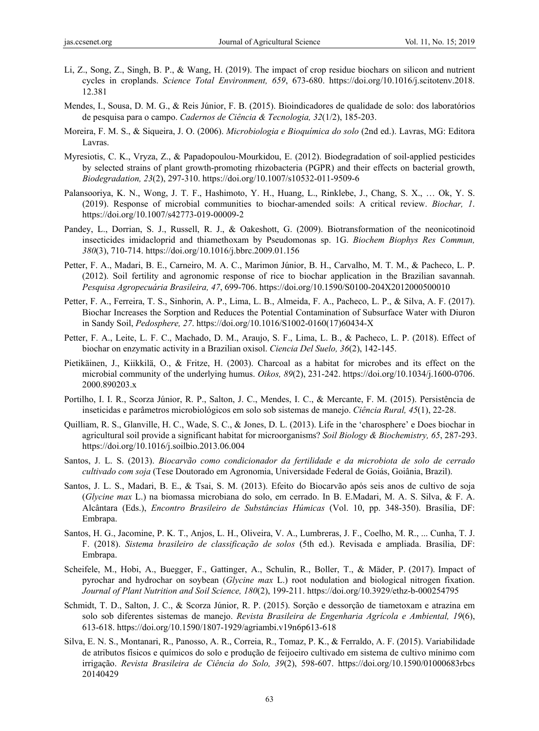- Li, Z., Song, Z., Singh, B. P., & Wang, H. (2019). The impact of crop residue biochars on silicon and nutrient cycles in croplands. *Science Total Environment, 659*, 673-680. https://doi.org/10.1016/j.scitotenv.2018. 12.381
- Mendes, I., Sousa, D. M. G., & Reis Júnior, F. B. (2015). Bioindicadores de qualidade de solo: dos laboratórios de pesquisa para o campo. *Cadernos de Ciência & Tecnologia, 32*(1/2), 185-203.
- Moreira, F. M. S., & Siqueira, J. O. (2006). *Microbiologia e Bioquímica do solo* (2nd ed.). Lavras, MG: Editora Lavras.
- Myresiotis, C. K., Vryza, Z., & Papadopoulou-Mourkidou, E. (2012). Biodegradation of soil-applied pesticides by selected strains of plant growth-promoting rhizobacteria (PGPR) and their effects on bacterial growth, *Biodegradation, 23*(2), 297-310. https://doi.org/10.1007/s10532-011-9509-6
- Palansooriya, K. N., Wong, J. T. F., Hashimoto, Y. H., Huang, L., Rinklebe, J., Chang, S. X., … Ok, Y. S. (2019). Response of microbial communities to biochar-amended soils: A critical review. *Biochar, 1*. https://doi.org/10.1007/s42773-019-00009-2
- Pandey, L., Dorrian, S. J., Russell, R. J., & Oakeshott, G. (2009). Biotransformation of the neonicotinoid insecticides imidacloprid and thiamethoxam by Pseudomonas sp. 1G. *Biochem Biophys Res Commun, 380*(3), 710-714. https://doi.org/10.1016/j.bbrc.2009.01.156
- Petter, F. A., Madari, B. E., Carneiro, M. A. C., Marimon Júnior, B. H., Carvalho, M. T. M., & Pacheco, L. P. (2012). Soil fertility and agronomic response of rice to biochar application in the Brazilian savannah. *Pesquisa Agropecuária Brasileira, 47*, 699-706. https://doi.org/10.1590/S0100-204X2012000500010
- Petter, F. A., Ferreira, T. S., Sinhorin, A. P., Lima, L. B., Almeida, F. A., Pacheco, L. P., & Silva, A. F. (2017). Biochar Increases the Sorption and Reduces the Potential Contamination of Subsurface Water with Diuron in Sandy Soil, *Pedosphere, 27*. https://doi.org/10.1016/S1002-0160(17)60434-X
- Petter, F. A., Leite, L. F. C., Machado, D. M., Araujo, S. F., Lima, L. B., & Pacheco, L. P. (2018). Effect of biochar on enzymatic activity in a Brazilian oxisol. *Ciencia Del Suelo, 36*(2), 142-145.
- Pietikäinen, J., Kiikkilä, O., & Fritze, H. (2003). Charcoal as a habitat for microbes and its effect on the microbial community of the underlying humus. *Oikos, 89*(2), 231-242. https://doi.org/10.1034/j.1600-0706. 2000.890203.x
- Portilho, I. I. R., Scorza Júnior, R. P., Salton, J. C., Mendes, I. C., & Mercante, F. M. (2015). Persistência de inseticidas e parâmetros microbiológicos em solo sob sistemas de manejo. *Ciência Rural, 45*(1), 22-28.
- Quilliam, R. S., Glanville, H. C., Wade, S. C., & Jones, D. L. (2013). Life in the 'charosphere' e Does biochar in agricultural soil provide a significant habitat for microorganisms? *Soil Biology & Biochemistry, 65*, 287-293. https://doi.org/10.1016/j.soilbio.2013.06.004
- Santos, J. L. S. (2013). *Biocarvão como condicionador da fertilidade e da microbiota de solo de cerrado cultivado com soja* (Tese Doutorado em Agronomia, Universidade Federal de Goiás, Goiânia, Brazil).
- Santos, J. L. S., Madari, B. E., & Tsai, S. M. (2013). Efeito do Biocarvão após seis anos de cultivo de soja (*Glycine max* L.) na biomassa microbiana do solo, em cerrado. In B. E.Madari, M. A. S. Silva, & F. A. Alcântara (Eds.), *Encontro Brasileiro de Substâncias Húmicas* (Vol. 10, pp. 348-350). Brasília, DF: Embrapa.
- Santos, H. G., Jacomine, P. K. T., Anjos, L. H., Oliveira, V. A., Lumbreras, J. F., Coelho, M. R., ... Cunha, T. J. F. (2018). *Sistema brasileiro de classificação de solos* (5th ed.). Revisada e ampliada. Brasília, DF: Embrapa.
- Scheifele, M., Hobi, A., Buegger, F., Gattinger, A., Schulin, R., Boller, T., & Mäder, P. (2017). Impact of pyrochar and hydrochar on soybean (*Glycine max* L.) root nodulation and biological nitrogen fixation. *Journal of Plant Nutrition and Soil Science, 180*(2), 199-211. https://doi.org/10.3929/ethz-b-000254795
- Schmidt, T. D., Salton, J. C., & Scorza Júnior, R. P. (2015). Sorção e dessorção de tiametoxam e atrazina em solo sob diferentes sistemas de manejo. *Revista Brasileira de Engenharia Agrícola e Ambiental, 19*(6), 613-618. https://doi.org/10.1590/1807-1929/agriambi.v19n6p613-618
- Silva, E. N. S., Montanari, R., Panosso, A. R., Correia, R., Tomaz, P. K., & Ferraldo, A. F. (2015). Variabilidade de atributos físicos e químicos do solo e produção de feijoeiro cultivado em sistema de cultivo mínimo com irrigação. *Revista Brasileira de Ciência do Solo, 39*(2), 598-607. https://doi.org/10.1590/01000683rbcs 20140429